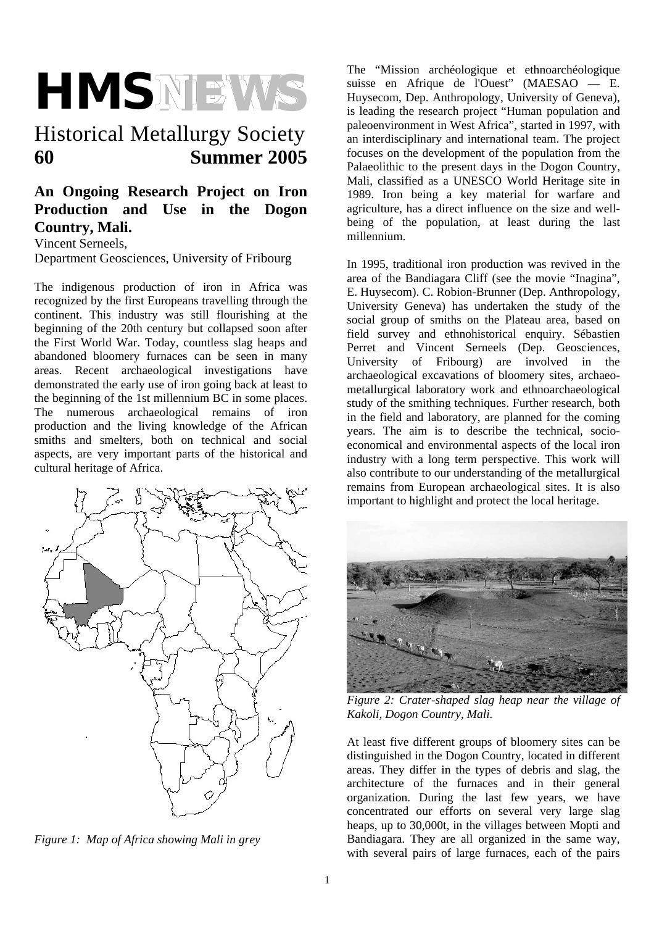

# Historical Metallurgy Society **60 Summer 2005**

# **An Ongoing Research Project on Iron Production and Use in the Dogon Country, Mali.**

Vincent Serneels,

Department Geosciences, University of Fribourg

The indigenous production of iron in Africa was recognized by the first Europeans travelling through the continent. This industry was still flourishing at the beginning of the 20th century but collapsed soon after the First World War. Today, countless slag heaps and abandoned bloomery furnaces can be seen in many areas. Recent archaeological investigations have demonstrated the early use of iron going back at least to the beginning of the 1st millennium BC in some places. The numerous archaeological remains of iron production and the living knowledge of the African smiths and smelters, both on technical and social aspects, are very important parts of the historical and cultural heritage of Africa.



*Figure 1: Map of Africa showing Mali in grey* 

The "Mission archéologique et ethnoarchéologique suisse en Afrique de l'Ouest" (MAESAO — E. Huysecom, Dep. Anthropology, University of Geneva), is leading the research project "Human population and paleoenvironment in West Africa", started in 1997, with an interdisciplinary and international team. The project focuses on the development of the population from the Palaeolithic to the present days in the Dogon Country, Mali, classified as a UNESCO World Heritage site in 1989. Iron being a key material for warfare and agriculture, has a direct influence on the size and wellbeing of the population, at least during the last millennium.

In 1995, traditional iron production was revived in the area of the Bandiagara Cliff (see the movie "Inagina", E. Huysecom). C. Robion-Brunner (Dep. Anthropology, University Geneva) has undertaken the study of the social group of smiths on the Plateau area, based on field survey and ethnohistorical enquiry. Sébastien Perret and Vincent Serneels (Dep. Geosciences, University of Fribourg) are involved in the archaeological excavations of bloomery sites, archaeometallurgical laboratory work and ethnoarchaeological study of the smithing techniques. Further research, both in the field and laboratory, are planned for the coming years. The aim is to describe the technical, socioeconomical and environmental aspects of the local iron industry with a long term perspective. This work will also contribute to our understanding of the metallurgical remains from European archaeological sites. It is also important to highlight and protect the local heritage.



*Figure 2: Crater-shaped slag heap near the village of Kakoli, Dogon Country, Mali.* 

At least five different groups of bloomery sites can be distinguished in the Dogon Country, located in different areas. They differ in the types of debris and slag, the architecture of the furnaces and in their general organization. During the last few years, we have concentrated our efforts on several very large slag heaps, up to 30,000t, in the villages between Mopti and Bandiagara. They are all organized in the same way, with several pairs of large furnaces, each of the pairs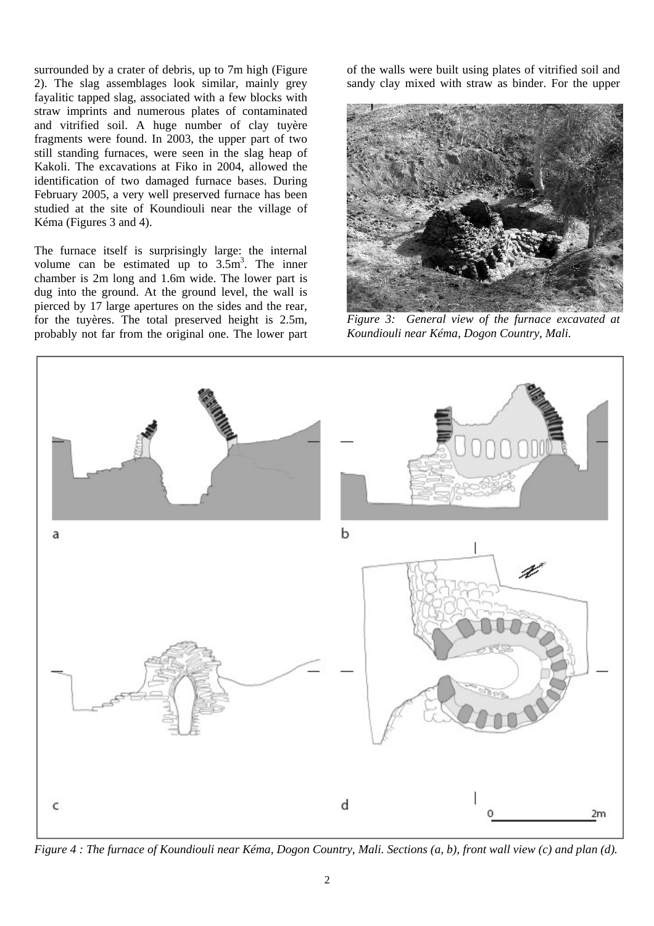surrounded by a crater of debris, up to 7m high (Figure 2). The slag assemblages look similar, mainly grey fayalitic tapped slag, associated with a few blocks with straw imprints and numerous plates of contaminated and vitrified soil. A huge number of clay tuyère fragments were found. In 2003, the upper part of two still standing furnaces, were seen in the slag heap of Kakoli. The excavations at Fiko in 2004, allowed the identification of two damaged furnace bases. During February 2005, a very well preserved furnace has been studied at the site of Koundiouli near the village of Kéma (Figures 3 and 4).

The furnace itself is surprisingly large: the internal volume can be estimated up to  $3.5m<sup>3</sup>$ . The inner chamber is 2m long and 1.6m wide. The lower part is dug into the ground. At the ground level, the wall is pierced by 17 large apertures on the sides and the rear, for the tuyères. The total preserved height is 2.5m, probably not far from the original one. The lower part

of the walls were built using plates of vitrified soil and sandy clay mixed with straw as binder. For the upper



*Figure 3: General view of the furnace excavated at Koundiouli near Kéma, Dogon Country, Mali.* 



*Figure 4 : The furnace of Koundiouli near Kéma, Dogon Country, Mali. Sections (a, b), front wall view (c) and plan (d).*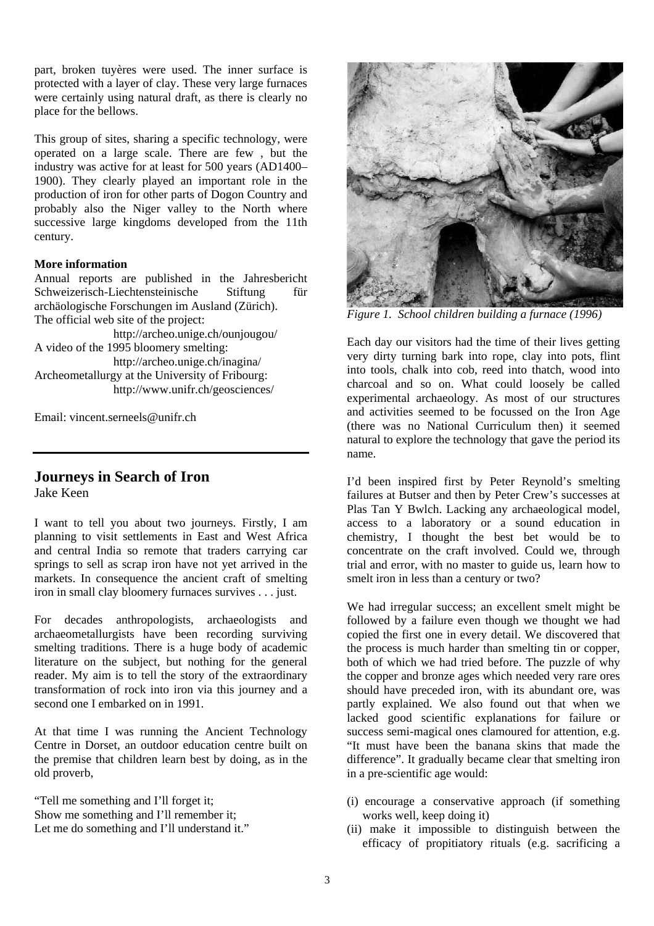part, broken tuyères were used. The inner surface is protected with a layer of clay. These very large furnaces were certainly using natural draft, as there is clearly no place for the bellows.

This group of sites, sharing a specific technology, were operated on a large scale. There are few , but the industry was active for at least for 500 years (AD1400– 1900). They clearly played an important role in the production of iron for other parts of Dogon Country and probably also the Niger valley to the North where successive large kingdoms developed from the 11th century.

#### **More information**

Annual reports are published in the Jahresbericht Schweizerisch-Liechtensteinische Stiftung für archäologische Forschungen im Ausland (Zürich). The official web site of the project:

http://archeo.unige.ch/ounjougou/ A video of the 1995 bloomery smelting: http://archeo.unige.ch/inagina/ Archeometallurgy at the University of Fribourg: http://www.unifr.ch/geosciences/

Email: vincent serneels@unifr.ch

### **Journeys in Search of Iron**

Jake Keen

I want to tell you about two journeys. Firstly, I am planning to visit settlements in East and West Africa and central India so remote that traders carrying car springs to sell as scrap iron have not yet arrived in the markets. In consequence the ancient craft of smelting iron in small clay bloomery furnaces survives . . . just.

For decades anthropologists, archaeologists and archaeometallurgists have been recording surviving smelting traditions. There is a huge body of academic literature on the subject, but nothing for the general reader. My aim is to tell the story of the extraordinary transformation of rock into iron via this journey and a second one I embarked on in 1991.

At that time I was running the Ancient Technology Centre in Dorset, an outdoor education centre built on the premise that children learn best by doing, as in the old proverb,

"Tell me something and I'll forget it; Show me something and I'll remember it; Let me do something and I'll understand it."



*Figure 1. School children building a furnace (1996)*

Each day our visitors had the time of their lives getting very dirty turning bark into rope, clay into pots, flint into tools, chalk into cob, reed into thatch, wood into charcoal and so on. What could loosely be called experimental archaeology. As most of our structures and activities seemed to be focussed on the Iron Age (there was no National Curriculum then) it seemed natural to explore the technology that gave the period its name.

I'd been inspired first by Peter Reynold's smelting failures at Butser and then by Peter Crew's successes at Plas Tan Y Bwlch. Lacking any archaeological model, access to a laboratory or a sound education in chemistry, I thought the best bet would be to concentrate on the craft involved. Could we, through trial and error, with no master to guide us, learn how to smelt iron in less than a century or two?

We had irregular success; an excellent smelt might be followed by a failure even though we thought we had copied the first one in every detail. We discovered that the process is much harder than smelting tin or copper, both of which we had tried before. The puzzle of why the copper and bronze ages which needed very rare ores should have preceded iron, with its abundant ore, was partly explained. We also found out that when we lacked good scientific explanations for failure or success semi-magical ones clamoured for attention, e.g. "It must have been the banana skins that made the difference". It gradually became clear that smelting iron in a pre-scientific age would:

- (i) encourage a conservative approach (if something works well, keep doing it)
- (ii) make it impossible to distinguish between the efficacy of propitiatory rituals (e.g. sacrificing a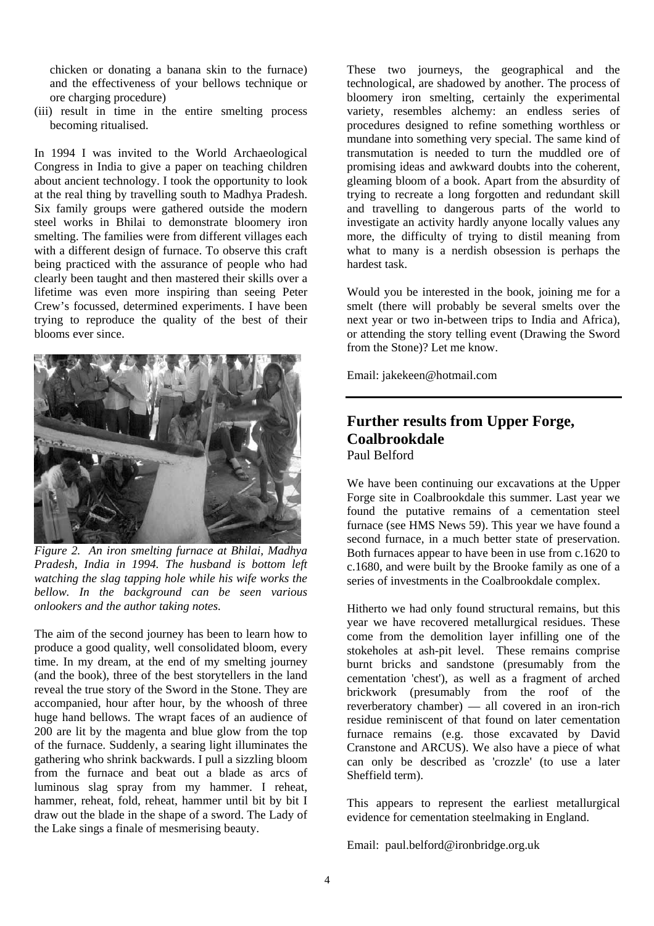chicken or donating a banana skin to the furnace) and the effectiveness of your bellows technique or ore charging procedure)

(iii) result in time in the entire smelting process becoming ritualised.

In 1994 I was invited to the World Archaeological Congress in India to give a paper on teaching children about ancient technology. I took the opportunity to look at the real thing by travelling south to Madhya Pradesh. Six family groups were gathered outside the modern steel works in Bhilai to demonstrate bloomery iron smelting. The families were from different villages each with a different design of furnace. To observe this craft being practiced with the assurance of people who had clearly been taught and then mastered their skills over a lifetime was even more inspiring than seeing Peter Crew's focussed, determined experiments. I have been trying to reproduce the quality of the best of their blooms ever since.



*Figure 2. An iron smelting furnace at Bhilai, Madhya Pradesh, India in 1994. The husband is bottom left watching the slag tapping hole while his wife works the bellow. In the background can be seen various onlookers and the author taking notes.* 

The aim of the second journey has been to learn how to produce a good quality, well consolidated bloom, every time. In my dream, at the end of my smelting journey (and the book), three of the best storytellers in the land reveal the true story of the Sword in the Stone. They are accompanied, hour after hour, by the whoosh of three huge hand bellows. The wrapt faces of an audience of 200 are lit by the magenta and blue glow from the top of the furnace. Suddenly, a searing light illuminates the gathering who shrink backwards. I pull a sizzling bloom from the furnace and beat out a blade as arcs of luminous slag spray from my hammer. I reheat, hammer, reheat, fold, reheat, hammer until bit by bit I draw out the blade in the shape of a sword. The Lady of the Lake sings a finale of mesmerising beauty.

These two journeys, the geographical and the technological, are shadowed by another. The process of bloomery iron smelting, certainly the experimental variety, resembles alchemy: an endless series of procedures designed to refine something worthless or mundane into something very special. The same kind of transmutation is needed to turn the muddled ore of promising ideas and awkward doubts into the coherent, gleaming bloom of a book. Apart from the absurdity of trying to recreate a long forgotten and redundant skill and travelling to dangerous parts of the world to investigate an activity hardly anyone locally values any more, the difficulty of trying to distil meaning from what to many is a nerdish obsession is perhaps the hardest task.

Would you be interested in the book, joining me for a smelt (there will probably be several smelts over the next year or two in-between trips to India and Africa), or attending the story telling event (Drawing the Sword from the Stone)? Let me know.

Email: jakekeen@hotmail.com

### **Further results from Upper Forge, Coalbrookdale**  Paul Belford

We have been continuing our excavations at the Upper Forge site in Coalbrookdale this summer. Last year we found the putative remains of a cementation steel furnace (see HMS News 59). This year we have found a second furnace, in a much better state of preservation. Both furnaces appear to have been in use from c.1620 to c.1680, and were built by the Brooke family as one of a series of investments in the Coalbrookdale complex.

Hitherto we had only found structural remains, but this year we have recovered metallurgical residues. These come from the demolition layer infilling one of the stokeholes at ash-pit level. These remains comprise burnt bricks and sandstone (presumably from the cementation 'chest'), as well as a fragment of arched brickwork (presumably from the roof of the reverberatory chamber) — all covered in an iron-rich residue reminiscent of that found on later cementation furnace remains (e.g. those excavated by David Cranstone and ARCUS). We also have a piece of what can only be described as 'crozzle' (to use a later Sheffield term).

This appears to represent the earliest metallurgical evidence for cementation steelmaking in England.

Email: paul.belford@ironbridge.org.uk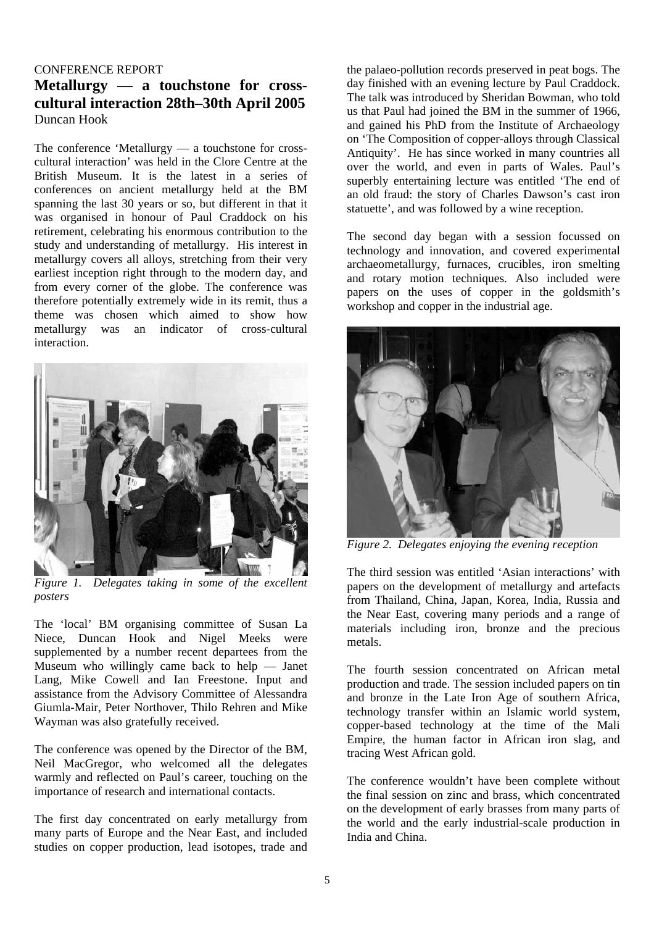#### CONFERENCE REPORT

# **Metallurgy — a touchstone for crosscultural interaction 28th–30th April 2005**  Duncan Hook

The conference 'Metallurgy — a touchstone for crosscultural interaction' was held in the Clore Centre at the British Museum. It is the latest in a series of conferences on ancient metallurgy held at the BM spanning the last 30 years or so, but different in that it was organised in honour of Paul Craddock on his retirement, celebrating his enormous contribution to the study and understanding of metallurgy. His interest in metallurgy covers all alloys, stretching from their very earliest inception right through to the modern day, and from every corner of the globe. The conference was therefore potentially extremely wide in its remit, thus a theme was chosen which aimed to show how metallurgy was an indicator of cross-cultural interaction.



*Figure 1. Delegates taking in some of the excellent posters* 

The 'local' BM organising committee of Susan La Niece, Duncan Hook and Nigel Meeks were supplemented by a number recent departees from the Museum who willingly came back to help — Janet Lang, Mike Cowell and Ian Freestone. Input and assistance from the Advisory Committee of Alessandra Giumla-Mair, Peter Northover, Thilo Rehren and Mike Wayman was also gratefully received.

The conference was opened by the Director of the BM, Neil MacGregor, who welcomed all the delegates warmly and reflected on Paul's career, touching on the importance of research and international contacts.

The first day concentrated on early metallurgy from many parts of Europe and the Near East, and included studies on copper production, lead isotopes, trade and

the palaeo-pollution records preserved in peat bogs. The day finished with an evening lecture by Paul Craddock. The talk was introduced by Sheridan Bowman, who told us that Paul had joined the BM in the summer of 1966, and gained his PhD from the Institute of Archaeology on 'The Composition of copper-alloys through Classical Antiquity'. He has since worked in many countries all over the world, and even in parts of Wales. Paul's superbly entertaining lecture was entitled 'The end of an old fraud: the story of Charles Dawson's cast iron statuette', and was followed by a wine reception.

The second day began with a session focussed on technology and innovation, and covered experimental archaeometallurgy, furnaces, crucibles, iron smelting and rotary motion techniques. Also included were papers on the uses of copper in the goldsmith's workshop and copper in the industrial age.



*Figure 2. Delegates enjoying the evening reception* 

The third session was entitled 'Asian interactions' with papers on the development of metallurgy and artefacts from Thailand, China, Japan, Korea, India, Russia and the Near East, covering many periods and a range of materials including iron, bronze and the precious metals.

The fourth session concentrated on African metal production and trade. The session included papers on tin and bronze in the Late Iron Age of southern Africa, technology transfer within an Islamic world system, copper-based technology at the time of the Mali Empire, the human factor in African iron slag, and tracing West African gold.

The conference wouldn't have been complete without the final session on zinc and brass, which concentrated on the development of early brasses from many parts of the world and the early industrial-scale production in India and China.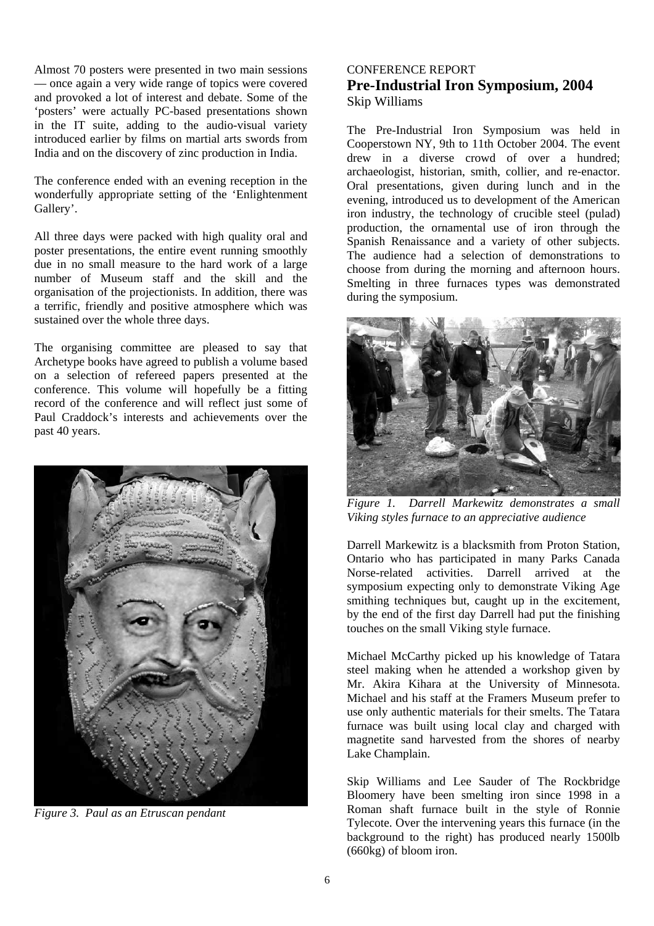Almost 70 posters were presented in two main sessions — once again a very wide range of topics were covered and provoked a lot of interest and debate. Some of the 'posters' were actually PC-based presentations shown in the IT suite, adding to the audio-visual variety introduced earlier by films on martial arts swords from India and on the discovery of zinc production in India.

The conference ended with an evening reception in the wonderfully appropriate setting of the 'Enlightenment Gallery'.

All three days were packed with high quality oral and poster presentations, the entire event running smoothly due in no small measure to the hard work of a large number of Museum staff and the skill and the organisation of the projectionists. In addition, there was a terrific, friendly and positive atmosphere which was sustained over the whole three days.

The organising committee are pleased to say that Archetype books have agreed to publish a volume based on a selection of refereed papers presented at the conference. This volume will hopefully be a fitting record of the conference and will reflect just some of Paul Craddock's interests and achievements over the past 40 years.



*Figure 3. Paul as an Etruscan pendant*

### CONFERENCE REPORT **Pre-Industrial Iron Symposium, 2004**  Skip Williams

The Pre-Industrial Iron Symposium was held in Cooperstown NY, 9th to 11th October 2004. The event drew in a diverse crowd of over a hundred; archaeologist, historian, smith, collier, and re-enactor. Oral presentations, given during lunch and in the evening, introduced us to development of the American iron industry, the technology of crucible steel (pulad) production, the ornamental use of iron through the Spanish Renaissance and a variety of other subjects. The audience had a selection of demonstrations to choose from during the morning and afternoon hours. Smelting in three furnaces types was demonstrated during the symposium.



*Figure 1. Darrell Markewitz demonstrates a small Viking styles furnace to an appreciative audience* 

Darrell Markewitz is a blacksmith from Proton Station, Ontario who has participated in many Parks Canada Norse-related activities. Darrell arrived at the symposium expecting only to demonstrate Viking Age smithing techniques but, caught up in the excitement, by the end of the first day Darrell had put the finishing touches on the small Viking style furnace.

Michael McCarthy picked up his knowledge of Tatara steel making when he attended a workshop given by Mr. Akira Kihara at the University of Minnesota. Michael and his staff at the Framers Museum prefer to use only authentic materials for their smelts. The Tatara furnace was built using local clay and charged with magnetite sand harvested from the shores of nearby Lake Champlain.

Skip Williams and Lee Sauder of The Rockbridge Bloomery have been smelting iron since 1998 in a Roman shaft furnace built in the style of Ronnie Tylecote. Over the intervening years this furnace (in the background to the right) has produced nearly 1500lb (660kg) of bloom iron.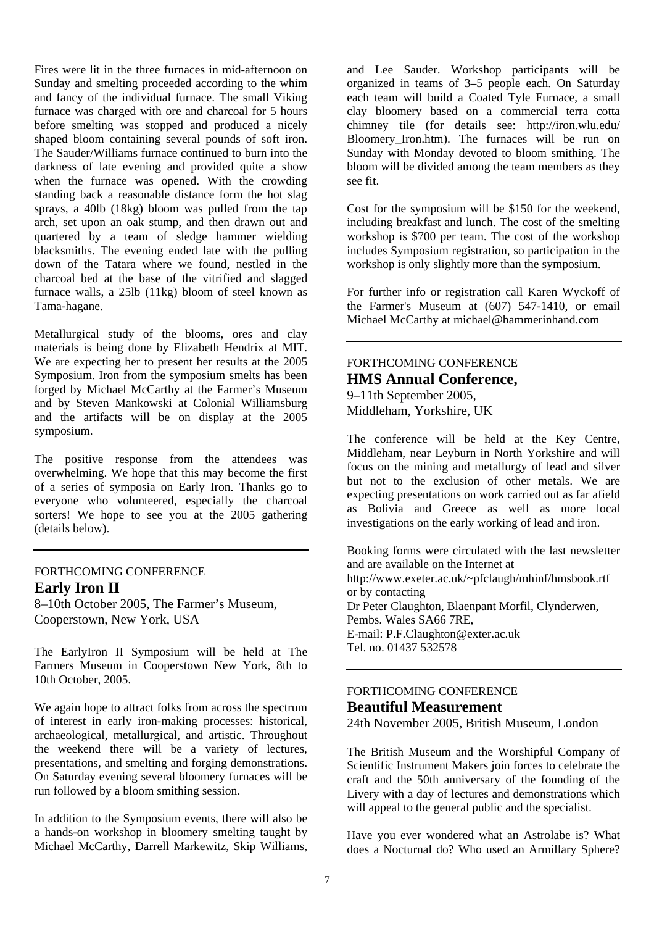Fires were lit in the three furnaces in mid-afternoon on Sunday and smelting proceeded according to the whim and fancy of the individual furnace. The small Viking furnace was charged with ore and charcoal for 5 hours before smelting was stopped and produced a nicely shaped bloom containing several pounds of soft iron. The Sauder/Williams furnace continued to burn into the darkness of late evening and provided quite a show when the furnace was opened. With the crowding standing back a reasonable distance form the hot slag sprays, a 40lb (18kg) bloom was pulled from the tap arch, set upon an oak stump, and then drawn out and quartered by a team of sledge hammer wielding blacksmiths. The evening ended late with the pulling down of the Tatara where we found, nestled in the charcoal bed at the base of the vitrified and slagged furnace walls, a 25lb (11kg) bloom of steel known as Tama-hagane.

Metallurgical study of the blooms, ores and clay materials is being done by Elizabeth Hendrix at MIT. We are expecting her to present her results at the 2005 Symposium. Iron from the symposium smelts has been forged by Michael McCarthy at the Farmer's Museum and by Steven Mankowski at Colonial Williamsburg and the artifacts will be on display at the 2005 symposium.

The positive response from the attendees was overwhelming. We hope that this may become the first of a series of symposia on Early Iron. Thanks go to everyone who volunteered, especially the charcoal sorters! We hope to see you at the 2005 gathering (details below).

### FORTHCOMING CONFERENCE **Early Iron II**

8–10th October 2005, The Farmer's Museum, Cooperstown, New York, USA

The EarlyIron II Symposium will be held at The Farmers Museum in Cooperstown New York, 8th to 10th October, 2005.

We again hope to attract folks from across the spectrum of interest in early iron-making processes: historical, archaeological, metallurgical, and artistic. Throughout the weekend there will be a variety of lectures, presentations, and smelting and forging demonstrations. On Saturday evening several bloomery furnaces will be run followed by a bloom smithing session.

In addition to the Symposium events, there will also be a hands-on workshop in bloomery smelting taught by Michael McCarthy, Darrell Markewitz, Skip Williams, and Lee Sauder. Workshop participants will be organized in teams of 3–5 people each. On Saturday each team will build a Coated Tyle Furnace, a small clay bloomery based on a commercial terra cotta chimney tile (for details see: http://iron.wlu.edu/ Bloomery\_Iron.htm). The furnaces will be run on Sunday with Monday devoted to bloom smithing. The bloom will be divided among the team members as they see fit.

Cost for the symposium will be \$150 for the weekend, including breakfast and lunch. The cost of the smelting workshop is \$700 per team. The cost of the workshop includes Symposium registration, so participation in the workshop is only slightly more than the symposium.

For further info or registration call Karen Wyckoff of the Farmer's Museum at (607) 547-1410, or email Michael McCarthy at michael@hammerinhand.com

# FORTHCOMING CONFERENCE **HMS Annual Conference,**

9–11th September 2005, Middleham, Yorkshire, UK

The conference will be held at the Key Centre, Middleham, near Leyburn in North Yorkshire and will focus on the mining and metallurgy of lead and silver but not to the exclusion of other metals. We are expecting presentations on work carried out as far afield as Bolivia and Greece as well as more local investigations on the early working of lead and iron.

Booking forms were circulated with the last newsletter and are available on the Internet at http://www.exeter.ac.uk/~pfclaugh/mhinf/hmsbook.rtf or by contacting Dr Peter Claughton, Blaenpant Morfil, Clynderwen, Pembs. Wales SA66 7RE, E-mail: P.F.Claughton@exter.ac.uk Tel. no. 01437 532578

#### FORTHCOMING CONFERENCE **Beautiful Measurement**

24th November 2005, British Museum, London

The British Museum and the Worshipful Company of Scientific Instrument Makers join forces to celebrate the craft and the 50th anniversary of the founding of the Livery with a day of lectures and demonstrations which will appeal to the general public and the specialist.

Have you ever wondered what an Astrolabe is? What does a Nocturnal do? Who used an Armillary Sphere?